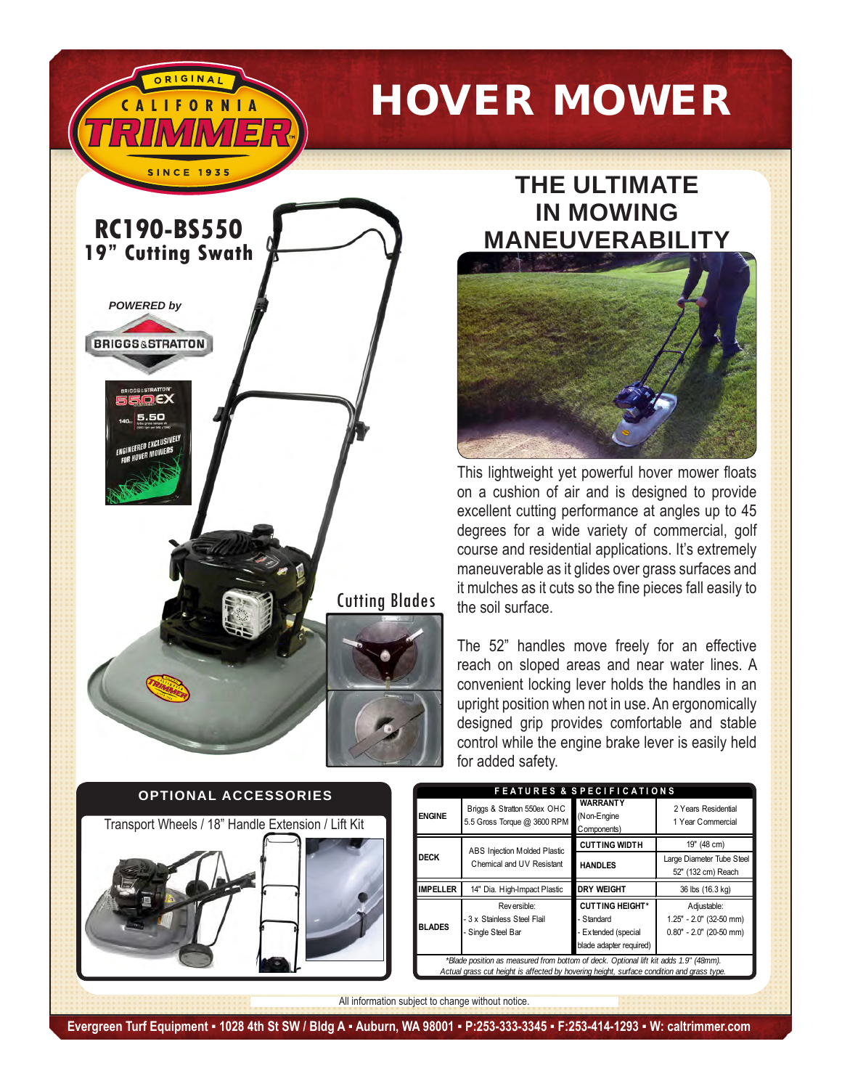



ORIGINA

## **THE ULTIMATE IN mowing MANEUVERABILITY**



This lightweight yet powerful hover mower floats on a cushion of air and is designed to provide excellent cutting performance at angles up to 45 degrees for a wide variety of commercial, golf course and residential applications. It's extremely maneuverable as it glides over grass surfaces and it mulches as it cuts so the fine pieces fall easily to the soil surface.

The 52" handles move freely for an effective reach on sloped areas and near water lines. A convenient locking lever holds the handles in an upright position when not in use. An ergonomically designed grip provides comfortable and stable control while the engine brake lever is easily held for added safety.



| <b>FEATURES &amp; SPECIFICATIONS</b>                                                                                                                                              |                                                                  |                                                                                        |                                                                     |  |
|-----------------------------------------------------------------------------------------------------------------------------------------------------------------------------------|------------------------------------------------------------------|----------------------------------------------------------------------------------------|---------------------------------------------------------------------|--|
| <b>ENGINE</b>                                                                                                                                                                     | Briggs & Stratton 550ex OHC<br>5.5 Gross Torque @ 3600 RPM       | <b>WARRANTY</b><br>(Non-Engine<br>Components)                                          | 2 Years Residential<br>1 Year Commercial                            |  |
| <b>DECK</b>                                                                                                                                                                       | ABS Injection Molded Plastic<br>Chemical and UV Resistant        | <b>CUTTING WIDTH</b>                                                                   | 19" (48 cm)                                                         |  |
|                                                                                                                                                                                   |                                                                  | <b>HANDLES</b>                                                                         | Large Diameter Tube Steel<br>52" (132 cm) Reach                     |  |
| <b>IMPELLER</b>                                                                                                                                                                   | 14" Dia. High-Impact Plastic                                     | <b>DRY WEIGHT</b>                                                                      | 36 lbs (16.3 kg)                                                    |  |
| <b>BLADES</b>                                                                                                                                                                     | Reversible:<br>- 3 x Stainless Steel Flail<br>- Single Steel Bar | <b>CUTTING HEIGHT*</b><br>- Standard<br>- Extended (special<br>blade adapter required) | Adjustable:<br>1.25" - 2.0" (32-50 mm)<br>$0.80" - 2.0"$ (20-50 mm) |  |
| *Blade position as measured from bottom of deck. Optional lift kit adds 1.9" (48mm).<br>Actual grass cut height is affected by hovering height, surface condition and grass type. |                                                                  |                                                                                        |                                                                     |  |

All information subject to change without notice.